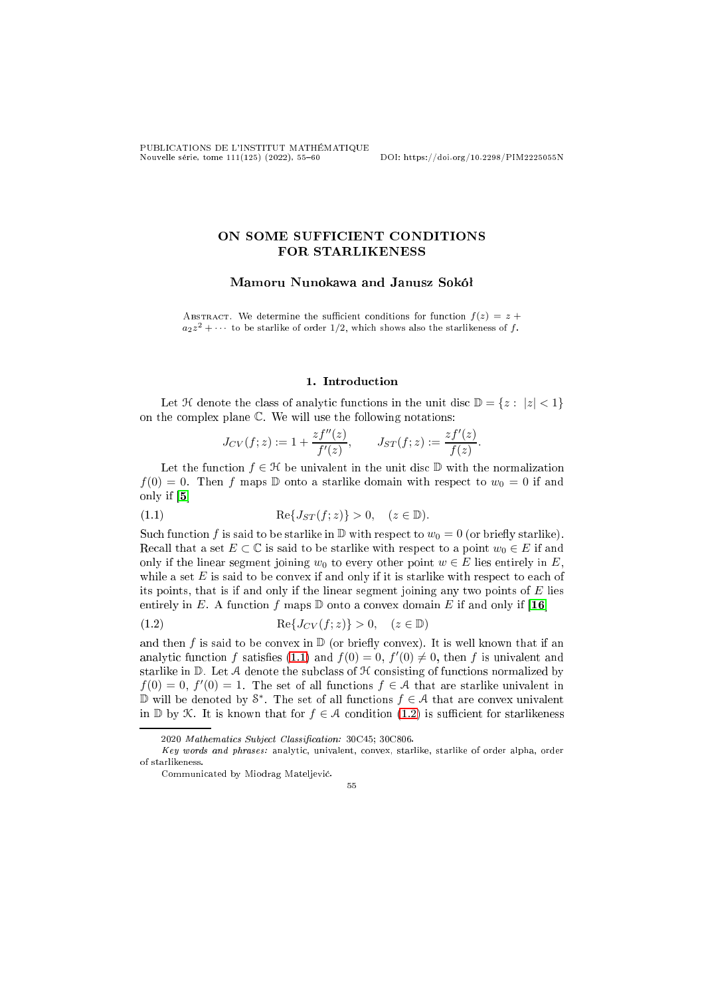# ON SOME SUFFICIENT CONDITIONS FOR STARLIKENESS

## Mamoru Nunokawa and Janusz Sokóª

ABSTRACT. We determine the sufficient conditions for function  $f(z) = z +$  $a_2z^2 + \cdots$  to be starlike of order 1/2, which shows also the starlikeness of f.

### 1. Introduction

Let  $\mathcal H$  denote the class of analytic functions in the unit disc  $\mathbb D = \{z : |z| < 1\}$ on the omplex plane C. We will use the following notations:

<span id="page-0-0"></span>
$$
J_{CV}(f;z) := 1 + \frac{zf''(z)}{f'(z)}, \qquad J_{ST}(f;z) := \frac{zf'(z)}{f(z)}.
$$

Let the function  $f \in \mathcal{H}$  be univalent in the unit disc  $\mathbb{D}$  with the normalization  $f(0) = 0$ . Then f maps D onto a starlike domain with respect to  $w_0 = 0$  if and only if  $[5]$ 

(1.1) 
$$
\operatorname{Re}\{J_{ST}(f;z)\} > 0, \quad (z \in \mathbb{D}).
$$

Such function f is said to be starlike in  $\mathbb D$  with respect to  $w_0 = 0$  (or briefly starlike). Recall that a set  $E \subset \mathbb{C}$  is said to be starlike with respect to a point  $w_0 \in E$  if and only if the linear segment joining  $w_0$  to every other point  $w \in E$  lies entirely in E, while a set  $E$  is said to be convex if and only if it is starlike with respect to each of its points, that is if and only if the linear segment joining any two points of  $E$  lies entirely in E. A function f maps  $D$  onto a convex domain E if and only if [16]

<span id="page-0-1"></span>(1.2) 
$$
\operatorname{Re}\{J_{CV}(f;z)\} > 0, \quad (z \in \mathbb{D})
$$

and then f is said to be convex in  $\mathbb D$  (or briefly convex). It is well known that if an analytic function f satisfies [\(1.1\)](#page-0-0) and  $f(0) = 0$ ,  $f'(0) \neq 0$ , then f is univalent and starlike in  $D$ . Let A denote the subclass of  $H$  consisting of functions normalized by  $f(0) = 0, f'(0) = 1.$  The set of all functions  $f \in \mathcal{A}$  that are starlike univalent in D will be denoted by  $\mathcal{S}^*$ . The set of all functions  $f \in \mathcal{A}$  that are convex univalent in  $\mathbb D$  by K. It is known that for  $f \in \mathcal A$  condition (1.2) is sufficient for starlikeness

55

<sup>2020</sup> Mathematics Subject Classification: 30C45; 30C806.

Key words and phrases: analyti
, univalent, onvex, starlike, starlike of order alpha, order of starlikeness.

Communi
ated by Miodrag Mateljevi¢.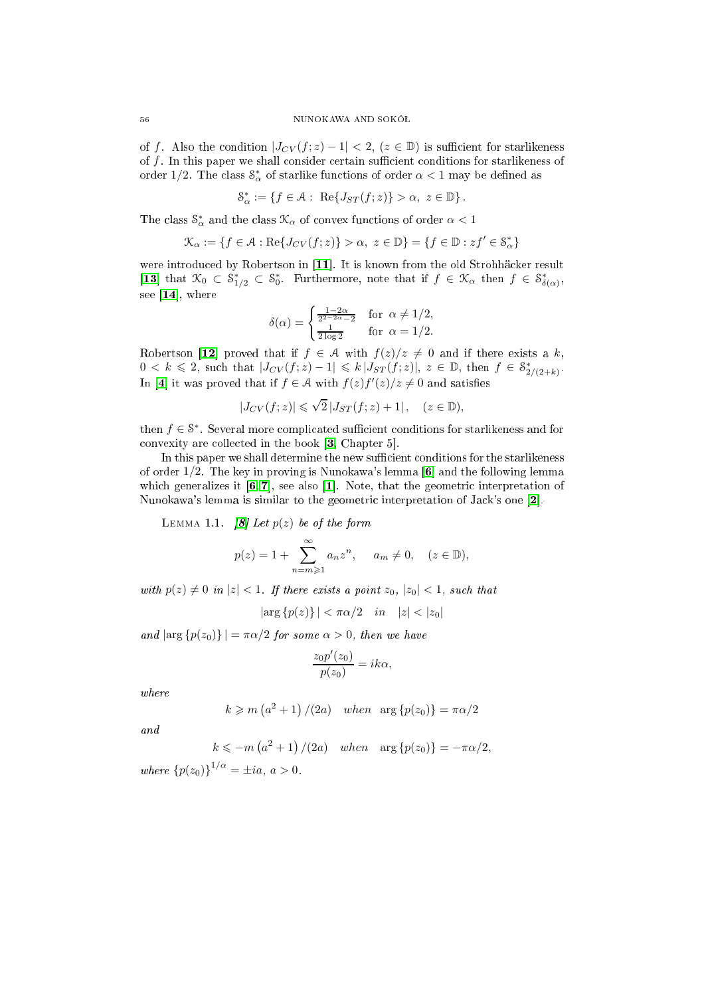of f. Also the condition  $|J_{CV}(f;z)-1| < 2$ ,  $(z \in \mathbb{D})$  is sufficient for starlikeness of  $f$ . In this paper we shall consider certain sufficient conditions for starlikeness of order 1/2. The class  $\mathcal{S}^*_{\alpha}$  of starlike functions of order  $\alpha < 1$  may be defined as

$$
\mathcal{S}^*_\alpha:=\left\{f\in\mathcal{A}:\ \operatorname{Re}\{J_{ST}(f;z)\}>\alpha,\ z\in\mathbb{D}\right\}.
$$

The class  $\mathcal{S}^*_\alpha$  and the class  $\mathcal{K}_\alpha$  of convex functions of order  $\alpha < 1$ 

$$
\mathcal{K}_\alpha:=\{f\in\mathcal{A}:\operatorname{Re}\{J_{CV}(f;z)\}>\alpha,\ z\in\mathbb{D}\}=\{f\in\mathbb{D}:zf'\in\mathcal{S}_\alpha^*\}
$$

were introduced by Robertson in [11]. It is known from the old Strohhäcker result [13] that  $\mathcal{K}_0 \subset \mathcal{S}_{1/2}^* \subset \mathcal{S}_0^*$ . Furthermore, note that if  $f \in \mathcal{K}_\alpha$  then  $f \in \mathcal{S}_\delta^*$  $\delta(\alpha)$  ' see  $[14]$ , where

$$
\delta(\alpha) = \begin{cases} \frac{1-2\alpha}{2^{2-2\alpha}-2} & \text{for } \alpha \neq 1/2, \\ \frac{1}{2\log 2} & \text{for } \alpha = 1/2. \end{cases}
$$

Robertson [12] proved that if  $f \in \mathcal{A}$  with  $f(z)/z \neq 0$  and if there exists a k,  $0 < k \leq 2$ , such that  $|J_{CV}(f; z) - 1| \leq k |J_{ST}(f; z)|$ ,  $z \in \mathbb{D}$ , then  $f \in S^*_{2}$  $2/(2+k)$ In [4] it was proved that if  $f \in \mathcal{A}$  with  $f(z)f'(z)/z \neq 0$  and satisfies

$$
|J_{CV}(f;z)| \leqslant \sqrt{2} |J_{ST}(f;z) + 1| \,, \quad (z \in \mathbb{D}),
$$

then  $f \in \mathcal{S}^*$ . Several more complicated sufficient conditions for starlikeness and for convexity are collected in the book [\[3,](#page-4-7) Chapter 5].

In this paper we shall determine the new sufficient conditions for the starlikeness of order  $1/2$ . The key in proving is Nunokawa's lemma [6] and the following lemma which generalizes it  $[6, 7]$  $[6, 7]$ , see also [1]. Note, that the geometric interpretation of Nunokawa's lemma is similar to the geometric interpretation of Jack's one [2].

<span id="page-1-0"></span>LEMMA 1.1.  $[8]$  Let  $p(z)$  be of the form

$$
p(z) = 1 + \sum_{n=m\geqslant 1}^{\infty} a_n z^n, \quad a_m \neq 0, \quad (z \in \mathbb{D}),
$$

with  $p(z) \neq 0$  in  $|z| < 1$ . If there exists a point  $z_0$ ,  $|z_0| < 1$ , such that

$$
|\arg \{p(z)\}| < \pi \alpha/2
$$
 in  $|z| < |z_0|$ 

and  $|\arg \{p(z_0)\}| = \pi \alpha/2$  for some  $\alpha > 0$ , then we have

$$
\frac{z_0 p'(z_0)}{p(z_0)} = ik\alpha,
$$

where

$$
k \geqslant m\left(a^2 + 1\right)/(2a) \quad when \quad \arg\left\{p(z_0)\right\} = \pi\alpha/2
$$

and

$$
k \leqslant -m\left(a^2+1\right)/(2a) \quad when \quad \arg\left\{p(z_0)\right\} = -\pi\alpha/2,
$$

where  ${p(z_0)}^{1/\alpha} = \pm ia, a > 0.$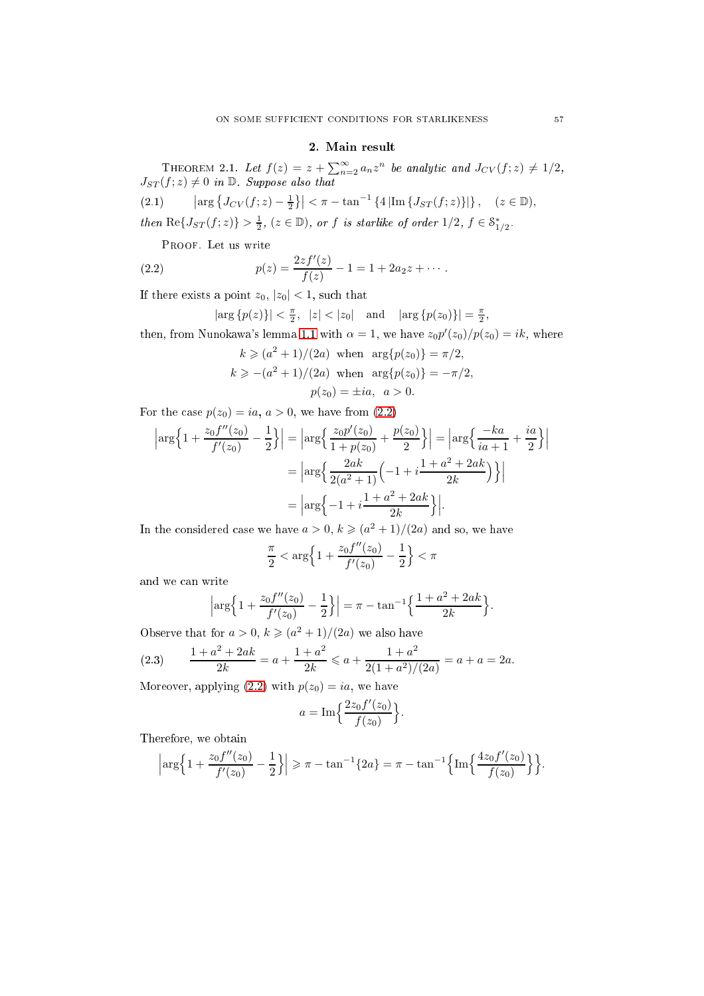### 2. Main result

<span id="page-2-2"></span>THEOREM 2.1. Let  $f(z) = z + \sum_{n=2}^{\infty} a_n z^n$  be analytic and  $J_{CV}(f; z) \neq 1/2$ ,  $J_{ST}(f; z) \neq 0$  in  $\mathbb{D}$ . Suppose also that

<span id="page-2-1"></span>
$$
(2.1) \qquad \left| \arg \left\{ J_{CV}(f;z) - \frac{1}{2} \right\} \right| < \pi - \tan^{-1} \left\{ 4 \left| \text{Im} \left\{ J_{ST}(f;z) \right\} \right| \right\}, \quad (z \in \mathbb{D}),
$$
\n
$$
\text{then } \text{Re} \{ J_{ST}(f;z) \} > \frac{1}{2}, \ (z \in \mathbb{D}), \text{ or } f \text{ is starlike of order } 1/2, \ f \in \mathcal{S}^*_{1/2}.
$$

Proof. Let us write

(2.2) 
$$
p(z) = \frac{2zf'(z)}{f(z)} - 1 = 1 + 2a_2z + \cdots.
$$

If there exists a point  $z_0, |z_0| < 1$ , such that

<span id="page-2-0"></span>
$$
|\arg\{p(z)\}| < \frac{\pi}{2}, |z| < |z_0|
$$
 and  $|\arg\{p(z_0)\}| = \frac{\pi}{2}$ ,

then, from Nunokawa's lemma [1.1](#page-1-0) with  $\alpha = 1$ , we have  $z_0 p'(z_0)/p(z_0) = ik$ , where

$$
k \ge (a^2 + 1)/(2a)
$$
 when  $\arg\{p(z_0)\} = \pi/2$ ,  
\n $k \ge -(a^2 + 1)/(2a)$  when  $\arg\{p(z_0)\} = -\pi/2$ ,  
\n $p(z_0) = \pm ia$ ,  $a > 0$ .

For the case  $p(z_0) = ia, a > 0$ , we have from [\(2.2\)](#page-2-0)

$$
\left| \arg \left\{ 1 + \frac{z_0 f''(z_0)}{f'(z_0)} - \frac{1}{2} \right\} \right| = \left| \arg \left\{ \frac{z_0 p'(z_0)}{1 + p(z_0)} + \frac{p(z_0)}{2} \right\} \right| = \left| \arg \left\{ \frac{-ka}{ia + 1} + \frac{ia}{2} \right\} \right|
$$

$$
= \left| \arg \left\{ \frac{2ak}{2(a^2 + 1)} \left( -1 + i \frac{1 + a^2 + 2ak}{2k} \right) \right\} \right|
$$

$$
= \left| \arg \left\{ -1 + i \frac{1 + a^2 + 2ak}{2k} \right\} \right|.
$$

In the considered case we have  $a > 0, k \geqslant (a^2 + 1)/(2a)$  and so, we have

$$
\frac{\pi}{2} < \arg\Bigl\{1+\frac{z_0f''(z_0)}{f'(z_0)}-\frac{1}{2}\Bigr\} < \pi
$$

and we an write

$$
\left|\arg\left\{1+\frac{z_0f''(z_0)}{f'(z_0)}-\frac{1}{2}\right\}\right|=\pi-\tan^{-1}\left\{\frac{1+a^2+2ak}{2k}\right\}.
$$

Observe that for  $a > 0$ ,  $k \geqslant (a^2 + 1)/(2a)$  we also have

<span id="page-2-3"></span>(2.3) 
$$
\frac{1+a^2+2ak}{2k} = a + \frac{1+a^2}{2k} \leqslant a + \frac{1+a^2}{2(1+a^2)/(2a)} = a + a = 2a.
$$

Moreover, applying  $(2.2)$  with  $p(z_0) = ia$ , we have

$$
a = \operatorname{Im}\left\{\frac{2z_0 f'(z_0)}{f(z_0)}\right\}.
$$

Therefore, we obtain

$$
\left|\arg\left\{1+\frac{z_0f''(z_0)}{f'(z_0)}-\frac{1}{2}\right\}\right|\geqslant\pi-\tan^{-1}\left\{2a\right\}=\pi-\tan^{-1}\left\{\text{Im}\left\{\frac{4z_0f'(z_0)}{f(z_0)}\right\}\right\}.
$$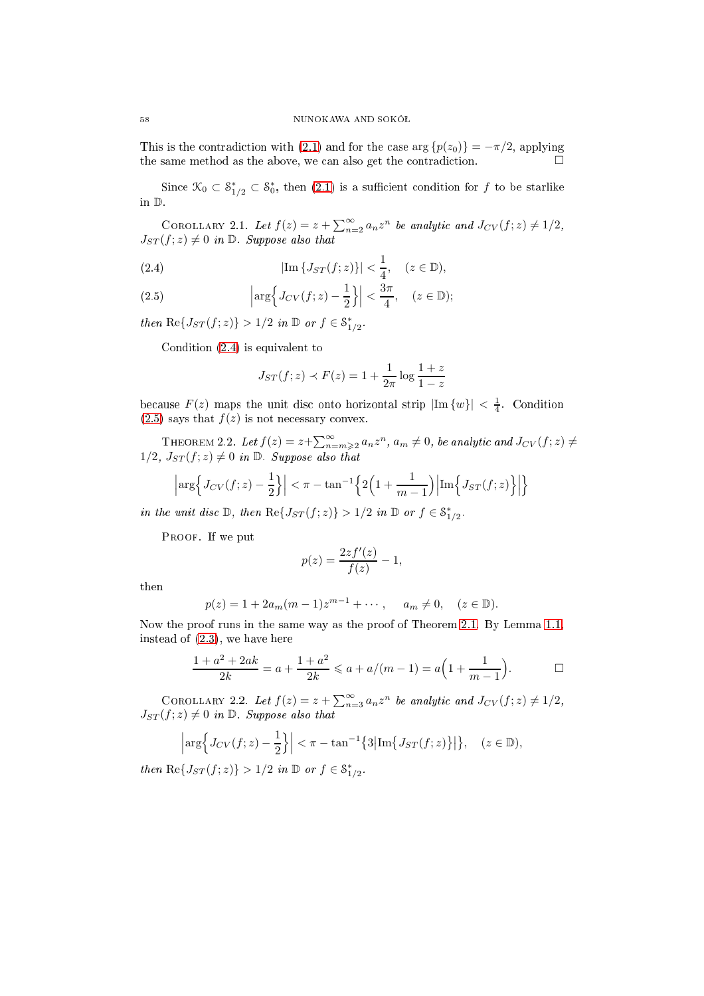This is the contradiction with [\(2.1\)](#page-2-1) and for the case  $\arg \{p(z_0)\} = -\pi/2$ , applying the same method as the above, we can also get the contradiction.

Since  $\mathcal{K}_0 \subset \mathcal{S}_{1/2}^* \subset \mathcal{S}_0^*$ , then [\(2.1\)](#page-2-1) is a sufficient condition for f to be starlike in D.

COROLLARY 2.1. Let  $f(z) = z + \sum_{n=2}^{\infty} a_n z^n$  be analytic and  $J_{CV}(f; z) \neq 1/2$ ,  $J_{ST}(f; z) \neq 0$  in  $\mathbb{D}$ . Suppose also that

<span id="page-3-0"></span>(2.4) 
$$
|\text{Im}\{J_{ST}(f;z)\}| < \frac{1}{4}, \quad (z \in \mathbb{D}),
$$

<span id="page-3-1"></span>(2.5) 
$$
\left|\arg\left\{J_{CV}(f;z)-\frac{1}{2}\right\}\right| < \frac{3\pi}{4}, \quad (z \in \mathbb{D});
$$

then  $\text{Re}\lbrace J_{ST}(f;z)\rbrace > 1/2$  in  $\mathbb D$  or  $f \in \mathcal{S}_1^*$  $1/2$ 

Condition [\(2.4\)](#page-3-0) is equivalent to

$$
J_{ST}(f; z) \prec F(z) = 1 + \frac{1}{2\pi} \log \frac{1+z}{1-z}
$$

because  $F(z)$  maps the unit disc onto horizontal strip  $|\text{Im } \{w\}| < \frac{1}{4}$ . Condition  $(2.5)$  says that  $f(z)$  is not necessary convex.

THEOREM 2.2. Let  $f(z) = z + \sum_{n=m\geqslant 2}^{\infty} a_n z^n$ ,  $a_m \neq 0$ , be analytic and  $J_{CV}(f; z) \neq$  $1/2$ ,  $J_{ST}(f; z) \neq 0$  in  $\mathbb{D}$ . Suppose also that

$$
\left|\arg\left\{J_{CV}(f;z)-\frac{1}{2}\right\}\right| < \pi - \tan^{-1}\left\{2\left(1+\frac{1}{m-1}\right)\left|\operatorname{Im}\left\{J_{ST}(f;z)\right\}\right|\right\}
$$

in the unit disc  $D$ , then  $\text{Re}\lbrace J_{ST}(f; z)\rbrace > 1/2$  in  $D$  or  $f \in \mathcal{S}_1^*$  $1/2$ 

PROOF. If we put

$$
p(z) = \frac{2zf'(z)}{f(z)} - 1,
$$

then

$$
p(z) = 1 + 2a_m(m-1)z^{m-1} + \cdots
$$
,  $a_m \neq 0$ ,  $(z \in \mathbb{D})$ .

Now the proof runs in the same way as the proof of Theorem [2.1.](#page-2-2) By Lemma [1.1,](#page-1-0) instead of [\(2.3\)](#page-2-3), we have here

$$
\frac{1+a^2+2ak}{2k} = a + \frac{1+a^2}{2k} \leqslant a + a/(m-1) = a\left(1 + \frac{1}{m-1}\right).
$$

COROLLARY 2.2. Let  $f(z) = z + \sum_{n=3}^{\infty} a_n z^n$  be analytic and  $J_{CV}(f; z) \neq 1/2$ ,  $J_{ST}(f; z) \neq 0$  in  $\mathbb{D}$ . Suppose also that

$$
\left|\arg\Big\{J_{CV}(f;z)-\frac{1}{2}\Big\}\right|<\pi-\tan^{-1}\big\{3\big|\text{Im}\big\{J_{ST}(f;z)\big\}\big|\big\},\quad(z\in\mathbb{D}),
$$

then  $\text{Re}\lbrace J_{ST}(f; z)\rbrace > 1/2$  in  $\mathbb{D}$  or  $f \in \mathcal{S}_1^*$  $1/2$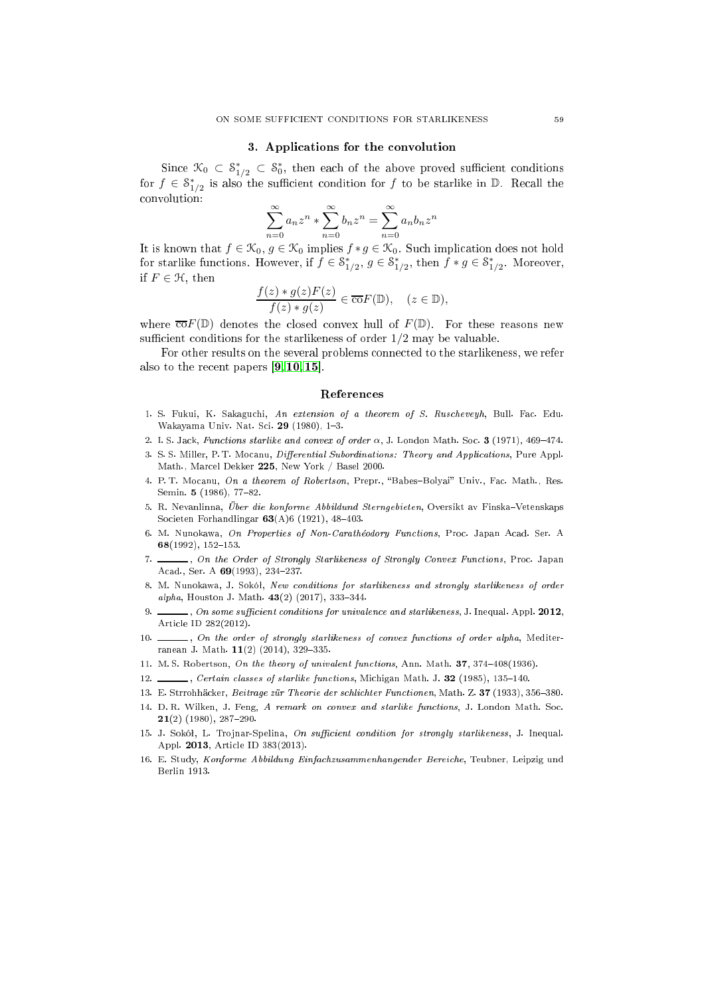#### 3. Appli
ations for the onvolution

Since  $\mathcal{K}_0 \subset \mathcal{S}_{1/2}^* \subset \mathcal{S}_0^*$ , then each of the above proved sufficient conditions for  $f \in \mathcal{S}_1^*$  $_{1/2}^*$  is also the sufficient condition for f to be starlike in D. Recall the onvolution:

$$
\sum_{n=0}^{\infty} a_n z^n \ast \sum_{n=0}^{\infty} b_n z^n = \sum_{n=0}^{\infty} a_n b_n z^n
$$

It is known that  $f \in \mathcal{K}_0, g \in \mathcal{K}_0$  implies  $f * g \in \mathcal{K}_0$ . Such implication does not hold for starlike functions. However, if  $f \in \mathcal{S}_1^*$  $\sum_{1/2}^*$ ,  $g \in \mathcal{S}_1^*$  $x_{1/2}^*$ , then  $f * g \in S_1^*$  $1/2$ . moreover, if  $F \in \mathcal{H}$ , then

$$
\frac{f(z) * g(z)F(z)}{f(z) * g(z)} \in \overline{\text{co}}F(\mathbb{D}), \quad (z \in \mathbb{D}),
$$

where  $\overline{co}F(\mathbb{D})$  denotes the closed convex hull of  $F(\mathbb{D})$ . For these reasons new sufficient conditions for the starlikeness of order  $1/2$  may be valuable.

For other results on the several problems connected to the starlikeness, we refer also to the recent papers  $[9, 10, 15]$  $[9, 10, 15]$  $[9, 10, 15]$  $[9, 10, 15]$ .

#### Referen
es

- <span id="page-4-10"></span>1. S. Fukui, K. Sakaguchi, An extension of a theorem of S. Ruscheveyh, Bull. Fac. Edu. Wakayama Univ. Nat. Sci. 29 (1980), 1-3.
- <span id="page-4-11"></span><span id="page-4-7"></span>2. I.S. Jack, Functions starlike and convex of order  $\alpha$ , J. London Math. Soc. 3 (1971), 469-474.
- 3. S.S. Miller, P. T. Mocanu, *Differential Subordinations: Theory and Applications*, Pure Appl. Math., Mar
el Dekker 225, New York / Basel 2000.
- <span id="page-4-6"></span><span id="page-4-0"></span>4. P.T. Mocanu, On a theorem of Robertson, Prepr., "Babes-Bolyai" Univ., Fac. Math., Res. Semin. 5 (1986), 77-82.
- 5. R. Nevanlinna, Über die konforme Abbildund Sterngebieten, Oversikt av Finska-Vetenskaps Societen Forhandlingar  $63(A)6(1921)$ ,  $48-403$ .
- <span id="page-4-8"></span>6. M. Nunokawa, On Properties of Non-Carathéodory Functions, Proc. Japan Acad. Ser. A 68(1992), 152-153.
- <span id="page-4-9"></span>7. Son the Order of Strongly Starlikeness of Strongly Convex Functions, Proc. Japan Acad., Ser. A 69(1993), 234-237.
- <span id="page-4-12"></span>8. M. Nunokawa, J. Sokół, New conditions for starlikeness and strongly starlikeness of order alpha, Houston J. Math.  $43(2)$  (2017), 333-344.
- <span id="page-4-13"></span>9.  $\ldots$ , On some sufficient conditions for univalence and starlikeness, J. Inequal. Appl. 2012, Arti
le ID 282(2012).
- <span id="page-4-14"></span> $\Box$ , On the order of strongly starlikeness of convex functions of order alpha, Mediter- $10.$ ranean J. Math.  $11(2)$  (2014), 329-335.
- <span id="page-4-5"></span><span id="page-4-2"></span>11. M.S. Robertson, On the theory of univalent functions, Ann. Math. 37, 374-408(1936).
- <span id="page-4-3"></span>12. Certain classes of starlike functions, Michigan Math. J. 32 (1985), 135-140.
- <span id="page-4-4"></span>13. E. Strrohhäcker, Beitrage zür Theorie der schlichter Functionen, Math. Z. 37 (1933), 356-380.
- 14. D. R. Wilken, J. Feng, A remark on convex and starlike functions, J. London Math. Soc.  $21(2)$  (1980), 287-290.
- <span id="page-4-15"></span>15. J. Sokół, L. Trojnar-Spelina, On sufficient condition for strongly starlikeness, J. Inequal. Appl. 2013, Arti
le ID 383(2013).
- <span id="page-4-1"></span>16. E. Study, Konforme Abbildung Einfachzusammenhangender Bereiche, Teubner, Leipzig und Berlin 1913.